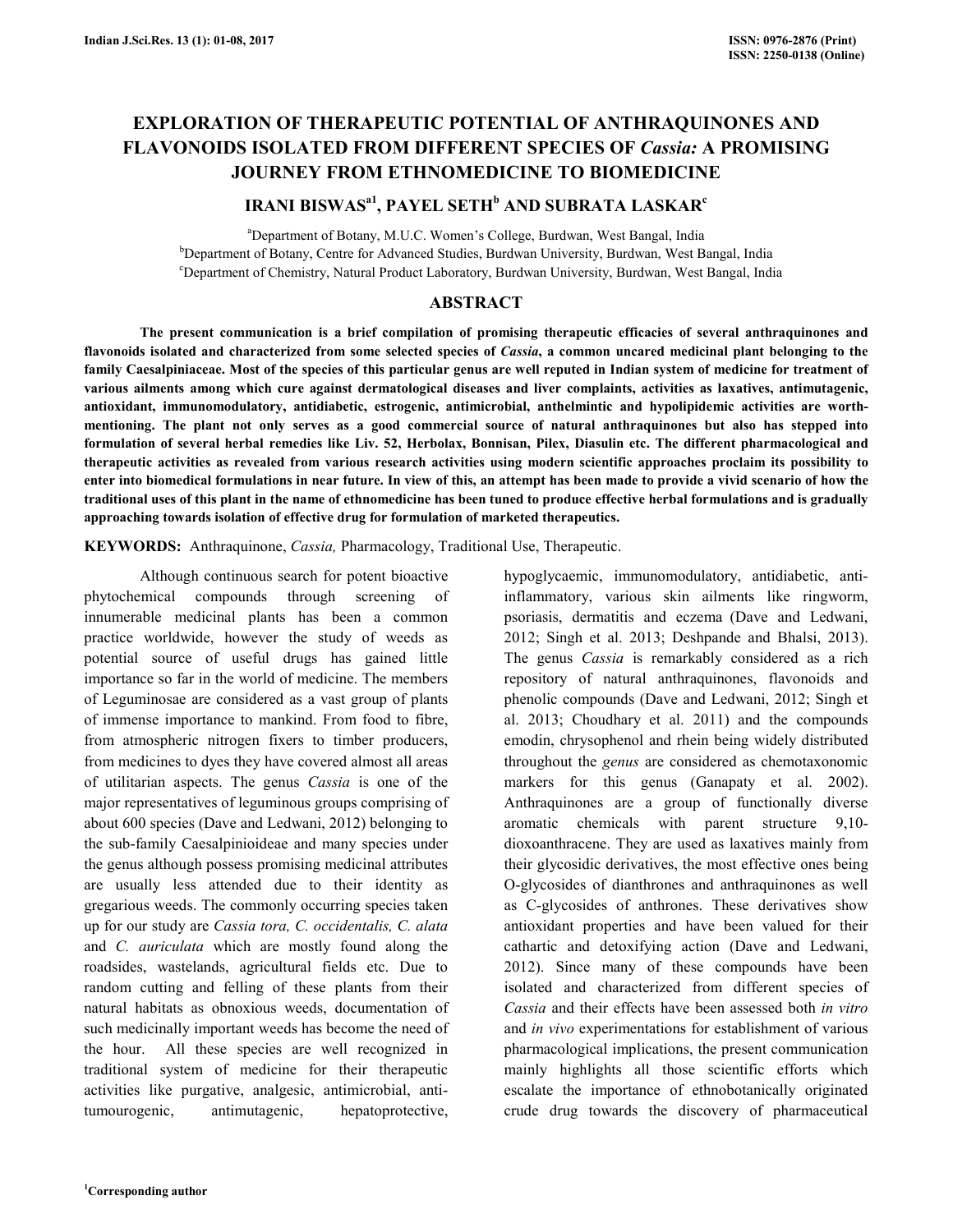# **EXPLORATION OF THERAPEUTIC POTENTIAL OF ANTHRAQUINONES AND FLAVONOIDS ISOLATED FROM DIFFERENT SPECIES OF** *Cassia:* **A PROMISING JOURNEY FROM ETHNOMEDICINE TO BIOMEDICINE**

# **IRANI BISWASa1, PAYEL SETH<sup>b</sup> AND SUBRATA LASKAR<sup>c</sup>**

<sup>a</sup>Department of Botany, M.U.C. Women's College, Burdwan, West Bangal, India <sup>b</sup>Department of Botany, Centre for Advanced Studies, Burdwan University, Burdwan, West Bangal, India <sup>c</sup>Department of Chemistry, Natural Product Laboratory, Burdwan University, Burdwan, West Bangal, India

### **ABSTRACT**

 **The present communication is a brief compilation of promising therapeutic efficacies of several anthraquinones and**  flavonoids isolated and characterized from some selected species of *Cassia*, a common uncared medicinal plant belonging to the **family Caesalpiniaceae. Most of the species of this particular genus are well reputed in Indian system of medicine for treatment of various ailments among which cure against dermatological diseases and liver complaints, activities as laxatives, antimutagenic, antioxidant, immunomodulatory, antidiabetic, estrogenic, antimicrobial, anthelmintic and hypolipidemic activities are worthmentioning. The plant not only serves as a good commercial source of natural anthraquinones but also has stepped into formulation of several herbal remedies like Liv. 52, Herbolax, Bonnisan, Pilex, Diasulin etc. The different pharmacological and therapeutic activities as revealed from various research activities using modern scientific approaches proclaim its possibility to enter into biomedical formulations in near future. In view of this, an attempt has been made to provide a vivid scenario of how the traditional uses of this plant in the name of ethnomedicine has been tuned to produce effective herbal formulations and is gradually approaching towards isolation of effective drug for formulation of marketed therapeutics.** 

**KEYWORDS:** Anthraquinone, *Cassia,* Pharmacology, Traditional Use, Therapeutic.

 Although continuous search for potent bioactive phytochemical compounds through screening of innumerable medicinal plants has been a common practice worldwide, however the study of weeds as potential source of useful drugs has gained little importance so far in the world of medicine. The members of Leguminosae are considered as a vast group of plants of immense importance to mankind. From food to fibre, from atmospheric nitrogen fixers to timber producers, from medicines to dyes they have covered almost all areas of utilitarian aspects. The genus *Cassia* is one of the major representatives of leguminous groups comprising of about 600 species (Dave and Ledwani, 2012) belonging to the sub-family Caesalpinioideae and many species under the genus although possess promising medicinal attributes are usually less attended due to their identity as gregarious weeds. The commonly occurring species taken up for our study are *Cassia tora, C. occidentalis, C. alata*  and *C. auriculata* which are mostly found along the roadsides, wastelands, agricultural fields etc. Due to random cutting and felling of these plants from their natural habitats as obnoxious weeds, documentation of such medicinally important weeds has become the need of the hour. All these species are well recognized in traditional system of medicine for their therapeutic activities like purgative, analgesic, antimicrobial, antitumourogenic, antimutagenic, hepatoprotective,

hypoglycaemic, immunomodulatory, antidiabetic, antiinflammatory, various skin ailments like ringworm, psoriasis, dermatitis and eczema (Dave and Ledwani, 2012; Singh et al. 2013; Deshpande and Bhalsi, 2013). The genus *Cassia* is remarkably considered as a rich repository of natural anthraquinones, flavonoids and phenolic compounds (Dave and Ledwani, 2012; Singh et al. 2013; Choudhary et al. 2011) and the compounds emodin, chrysophenol and rhein being widely distributed throughout the *genus* are considered as chemotaxonomic markers for this genus (Ganapaty et al. 2002). Anthraquinones are a group of functionally diverse aromatic chemicals with parent structure 9,10 dioxoanthracene. They are used as laxatives mainly from their glycosidic derivatives, the most effective ones being O-glycosides of dianthrones and anthraquinones as well as C-glycosides of anthrones. These derivatives show antioxidant properties and have been valued for their cathartic and detoxifying action (Dave and Ledwani, 2012). Since many of these compounds have been isolated and characterized from different species of *Cassia* and their effects have been assessed both *in vitro* and *in vivo* experimentations for establishment of various pharmacological implications, the present communication mainly highlights all those scientific efforts which escalate the importance of ethnobotanically originated crude drug towards the discovery of pharmaceutical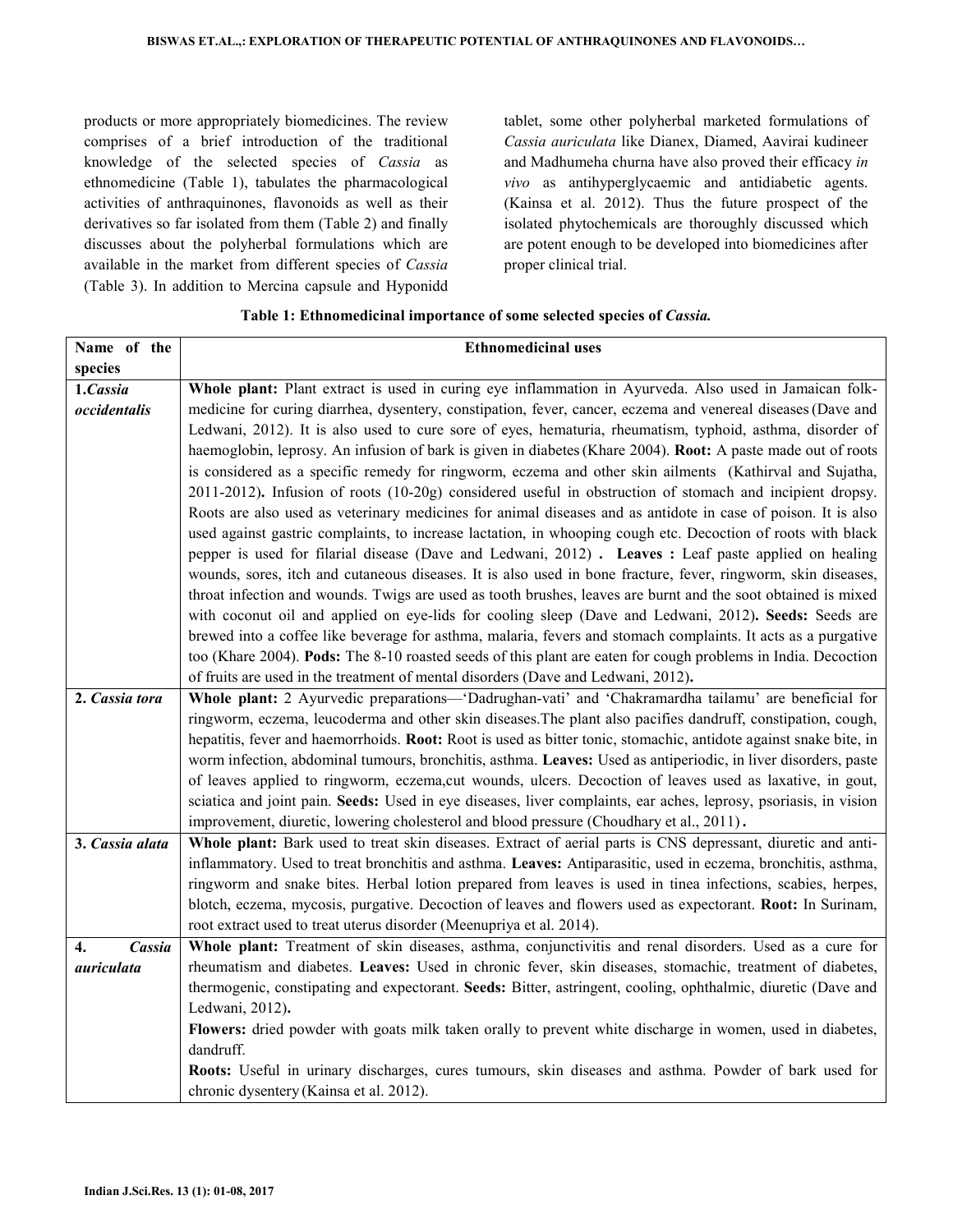products or more appropriately biomedicines. The review comprises of a brief introduction of the traditional knowledge of the selected species of *Cassia* as ethnomedicine (Table 1), tabulates the pharmacological activities of anthraquinones, flavonoids as well as their derivatives so far isolated from them (Table 2) and finally discusses about the polyherbal formulations which are available in the market from different species of *Cassia*  (Table 3). In addition to Mercina capsule and Hyponidd

tablet, some other polyherbal marketed formulations of *Cassia auriculata* like Dianex, Diamed, Aavirai kudineer and Madhumeha churna have also proved their efficacy *in vivo* as antihyperglycaemic and antidiabetic agents. (Kainsa et al. 2012). Thus the future prospect of the isolated phytochemicals are thoroughly discussed which are potent enough to be developed into biomedicines after proper clinical trial.

## **Table 1: Ethnomedicinal importance of some selected species of** *Cassia.*

| Name of the     | <b>Ethnomedicinal uses</b>                                                                                        |  |  |
|-----------------|-------------------------------------------------------------------------------------------------------------------|--|--|
| species         |                                                                                                                   |  |  |
| 1.Cassia        | Whole plant: Plant extract is used in curing eye inflammation in Ayurveda. Also used in Jamaican folk-            |  |  |
| occidentalis    | medicine for curing diarrhea, dysentery, constipation, fever, cancer, eczema and venereal diseases (Dave and      |  |  |
|                 | Ledwani, 2012). It is also used to cure sore of eyes, hematuria, rheumatism, typhoid, asthma, disorder of         |  |  |
|                 | haemoglobin, leprosy. An infusion of bark is given in diabetes (Khare 2004). Root: A paste made out of roots      |  |  |
|                 | is considered as a specific remedy for ringworm, eczema and other skin ailments (Kathirval and Sujatha,           |  |  |
|                 | 2011-2012). Infusion of roots (10-20g) considered useful in obstruction of stomach and incipient dropsy.          |  |  |
|                 | Roots are also used as veterinary medicines for animal diseases and as antidote in case of poison. It is also     |  |  |
|                 | used against gastric complaints, to increase lactation, in whooping cough etc. Decoction of roots with black      |  |  |
|                 | pepper is used for filarial disease (Dave and Ledwani, 2012). Leaves : Leaf paste applied on healing              |  |  |
|                 | wounds, sores, itch and cutaneous diseases. It is also used in bone fracture, fever, ringworm, skin diseases,     |  |  |
|                 | throat infection and wounds. Twigs are used as tooth brushes, leaves are burnt and the soot obtained is mixed     |  |  |
|                 | with coconut oil and applied on eye-lids for cooling sleep (Dave and Ledwani, 2012). Seeds: Seeds are             |  |  |
|                 | brewed into a coffee like beverage for asthma, malaria, fevers and stomach complaints. It acts as a purgative     |  |  |
|                 | too (Khare 2004). Pods: The 8-10 roasted seeds of this plant are eaten for cough problems in India. Decoction     |  |  |
|                 | of fruits are used in the treatment of mental disorders (Dave and Ledwani, 2012).                                 |  |  |
| 2. Cassia tora  | Whole plant: 2 Ayurvedic preparations—'Dadrughan-vati' and 'Chakramardha tailamu' are beneficial for              |  |  |
|                 | ringworm, eczema, leucoderma and other skin diseases. The plant also pacifies dandruff, constipation, cough,      |  |  |
|                 | hepatitis, fever and haemorrhoids. Root: Root is used as bitter tonic, stomachic, antidote against snake bite, in |  |  |
|                 | worm infection, abdominal tumours, bronchitis, asthma. Leaves: Used as antiperiodic, in liver disorders, paste    |  |  |
|                 | of leaves applied to ringworm, eczema,cut wounds, ulcers. Decoction of leaves used as laxative, in gout,          |  |  |
|                 | sciatica and joint pain. Seeds: Used in eye diseases, liver complaints, ear aches, leprosy, psoriasis, in vision  |  |  |
|                 | improvement, diuretic, lowering cholesterol and blood pressure (Choudhary et al., 2011).                          |  |  |
| 3. Cassia alata | Whole plant: Bark used to treat skin diseases. Extract of aerial parts is CNS depressant, diuretic and anti-      |  |  |
|                 | inflammatory. Used to treat bronchitis and asthma. Leaves: Antiparasitic, used in eczema, bronchitis, asthma,     |  |  |
|                 | ringworm and snake bites. Herbal lotion prepared from leaves is used in tinea infections, scabies, herpes,        |  |  |
|                 | blotch, eczema, mycosis, purgative. Decoction of leaves and flowers used as expectorant. Root: In Surinam,        |  |  |
|                 | root extract used to treat uterus disorder (Meenupriya et al. 2014).                                              |  |  |
| Cassia<br>4.    | Whole plant: Treatment of skin diseases, asthma, conjunctivitis and renal disorders. Used as a cure for           |  |  |
| auriculata      | rheumatism and diabetes. Leaves: Used in chronic fever, skin diseases, stomachic, treatment of diabetes,          |  |  |
|                 | thermogenic, constipating and expectorant. Seeds: Bitter, astringent, cooling, ophthalmic, diuretic (Dave and     |  |  |
|                 | Ledwani, 2012).                                                                                                   |  |  |
|                 | Flowers: dried powder with goats milk taken orally to prevent white discharge in women, used in diabetes,         |  |  |
|                 | dandruff.                                                                                                         |  |  |
|                 | Roots: Useful in urinary discharges, cures tumours, skin diseases and asthma. Powder of bark used for             |  |  |
|                 | chronic dysentery (Kainsa et al. 2012).                                                                           |  |  |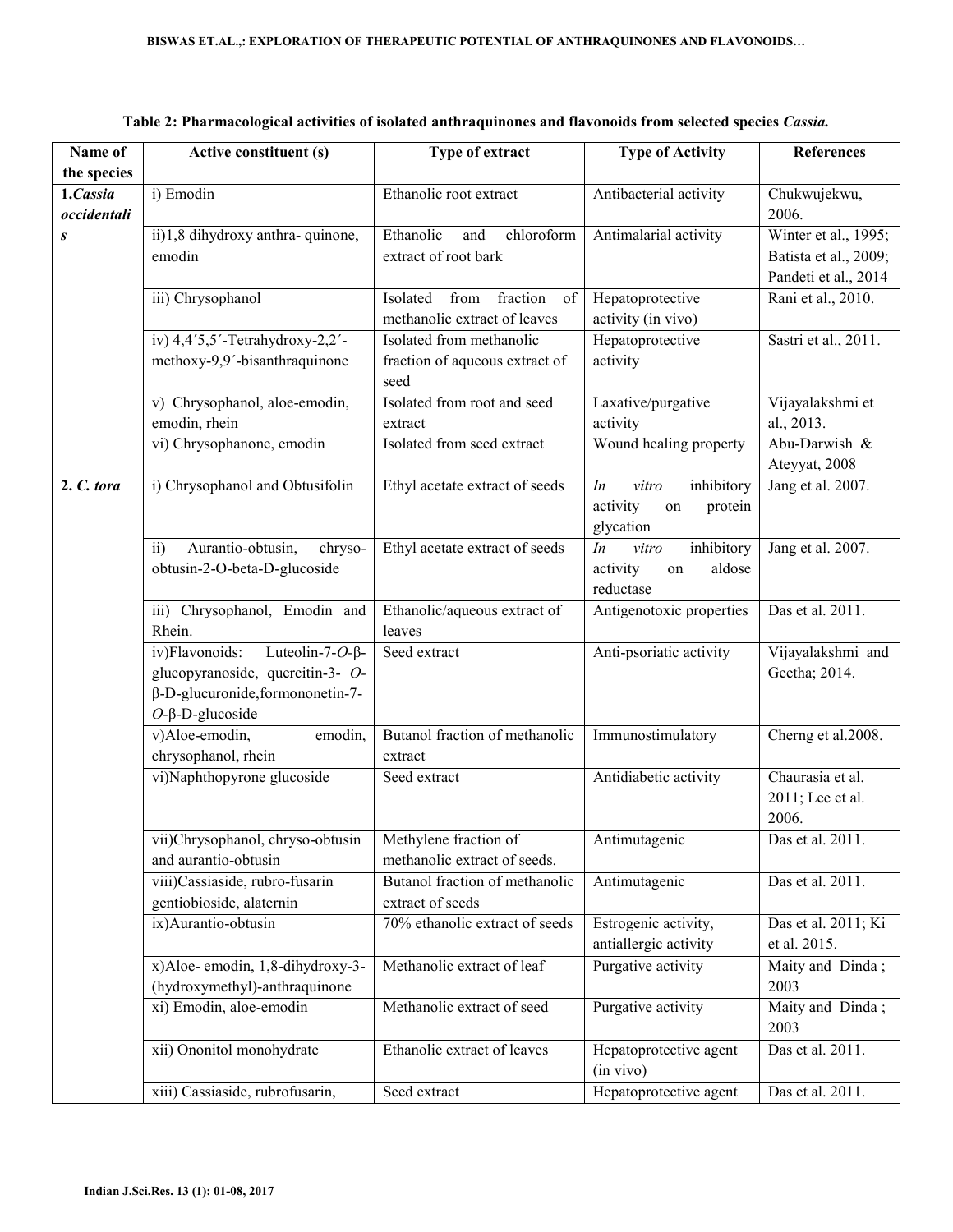| Name of                 | <b>Active constituent (s)</b>                            | Type of extract                                                    | <b>Type of Activity</b>                | References            |
|-------------------------|----------------------------------------------------------|--------------------------------------------------------------------|----------------------------------------|-----------------------|
| the species             |                                                          |                                                                    |                                        |                       |
| 1.Cassia<br>occidentali | i) Emodin                                                | Ethanolic root extract                                             | Antibacterial activity                 | Chukwujekwu,<br>2006. |
| S                       | ii)1,8 dihydroxy anthra-quinone,                         | Ethanolic<br>chloroform<br>and                                     | Antimalarial activity                  | Winter et al., 1995;  |
|                         | emodin                                                   | extract of root bark                                               |                                        | Batista et al., 2009; |
|                         |                                                          |                                                                    |                                        | Pandeti et al., 2014  |
|                         | iii) Chrysophanol                                        | fraction<br>Isolated<br>from<br>of<br>methanolic extract of leaves | Hepatoprotective<br>activity (in vivo) | Rani et al., 2010.    |
|                         | iv) 4,4'5,5'-Tetrahydroxy-2,2'-                          | Isolated from methanolic                                           | Hepatoprotective                       | Sastri et al., 2011.  |
|                         | methoxy-9,9'-bisanthraquinone                            | fraction of aqueous extract of                                     | activity                               |                       |
|                         |                                                          | seed                                                               |                                        |                       |
|                         | v) Chrysophanol, aloe-emodin,                            | Isolated from root and seed                                        | Laxative/purgative                     | Vijayalakshmi et      |
|                         | emodin, rhein                                            | extract                                                            | activity                               | al., 2013.            |
|                         | vi) Chrysophanone, emodin                                | Isolated from seed extract                                         | Wound healing property                 | Abu-Darwish &         |
|                         |                                                          |                                                                    |                                        | Ateyyat, 2008         |
| 2. C. tora              | i) Chrysophanol and Obtusifolin                          | Ethyl acetate extract of seeds                                     | In<br>vitro<br>inhibitory              | Jang et al. 2007.     |
|                         |                                                          |                                                                    | activity<br>protein<br>on              |                       |
|                         |                                                          |                                                                    | glycation                              |                       |
|                         | Aurantio-obtusin,<br>chryso-<br>$\overline{ii}$          | Ethyl acetate extract of seeds                                     | inhibitory<br>vitro<br>In              | Jang et al. 2007.     |
|                         | obtusin-2-O-beta-D-glucoside                             |                                                                    | aldose<br>activity<br>on               |                       |
|                         |                                                          |                                                                    | reductase                              |                       |
|                         | iii) Chrysophanol, Emodin and                            | Ethanolic/aqueous extract of                                       | Antigenotoxic properties               | Das et al. 2011.      |
|                         | Rhein.                                                   | leaves                                                             |                                        |                       |
|                         | iv)Flavonoids:<br>Luteolin-7- $O$ - $\beta$ -            | Seed extract                                                       | Anti-psoriatic activity                | Vijayalakshmi and     |
|                         | glucopyranoside, quercitin-3- O-                         |                                                                    |                                        | Geetha; 2014.         |
|                         | $\beta$ -D-glucuronide, formononetin-7-                  |                                                                    |                                        |                       |
|                         | $O$ - $\beta$ -D-glucoside                               |                                                                    |                                        |                       |
|                         | v)Aloe-emodin,<br>emodin,                                | Butanol fraction of methanolic                                     | Immunostimulatory                      | Cherng et al.2008.    |
|                         | chrysophanol, rhein                                      | extract                                                            |                                        |                       |
|                         | vi)Naphthopyrone glucoside                               | Seed extract                                                       | Antidiabetic activity                  | Chaurasia et al.      |
|                         |                                                          |                                                                    |                                        | 2011; Lee et al.      |
|                         |                                                          |                                                                    |                                        | 2006.                 |
|                         | vii)Chrysophanol, chryso-obtusin<br>and aurantio-obtusin | Methylene fraction of<br>methanolic extract of seeds.              | Antimutagenic                          | Das et al. 2011.      |
|                         | viii)Cassiaside, rubro-fusarin                           | Butanol fraction of methanolic                                     | Antimutagenic                          | Das et al. 2011.      |
|                         | gentiobioside, alaternin                                 | extract of seeds                                                   |                                        |                       |
|                         | ix)Aurantio-obtusin                                      | 70% ethanolic extract of seeds                                     | Estrogenic activity,                   | Das et al. 2011; Ki   |
|                         |                                                          |                                                                    | antiallergic activity                  | et al. 2015.          |
|                         | x)Aloe-emodin, 1,8-dihydroxy-3-                          | Methanolic extract of leaf                                         | Purgative activity                     | Maity and Dinda;      |
|                         | (hydroxymethyl)-anthraquinone                            |                                                                    |                                        | 2003                  |
|                         | xi) Emodin, aloe-emodin                                  | Methanolic extract of seed                                         | Purgative activity                     | Maity and Dinda;      |
|                         |                                                          |                                                                    |                                        | 2003                  |
|                         | xii) Ononitol monohydrate                                | Ethanolic extract of leaves                                        | Hepatoprotective agent                 | Das et al. 2011.      |
|                         |                                                          |                                                                    | (in vivo)                              |                       |
|                         | xiii) Cassiaside, rubrofusarin,                          | Seed extract                                                       | Hepatoprotective agent                 | Das et al. 2011.      |

| Table 2: Pharmacological activities of isolated anthraquinones and flavonoids from selected species Cassia. |  |  |
|-------------------------------------------------------------------------------------------------------------|--|--|
|                                                                                                             |  |  |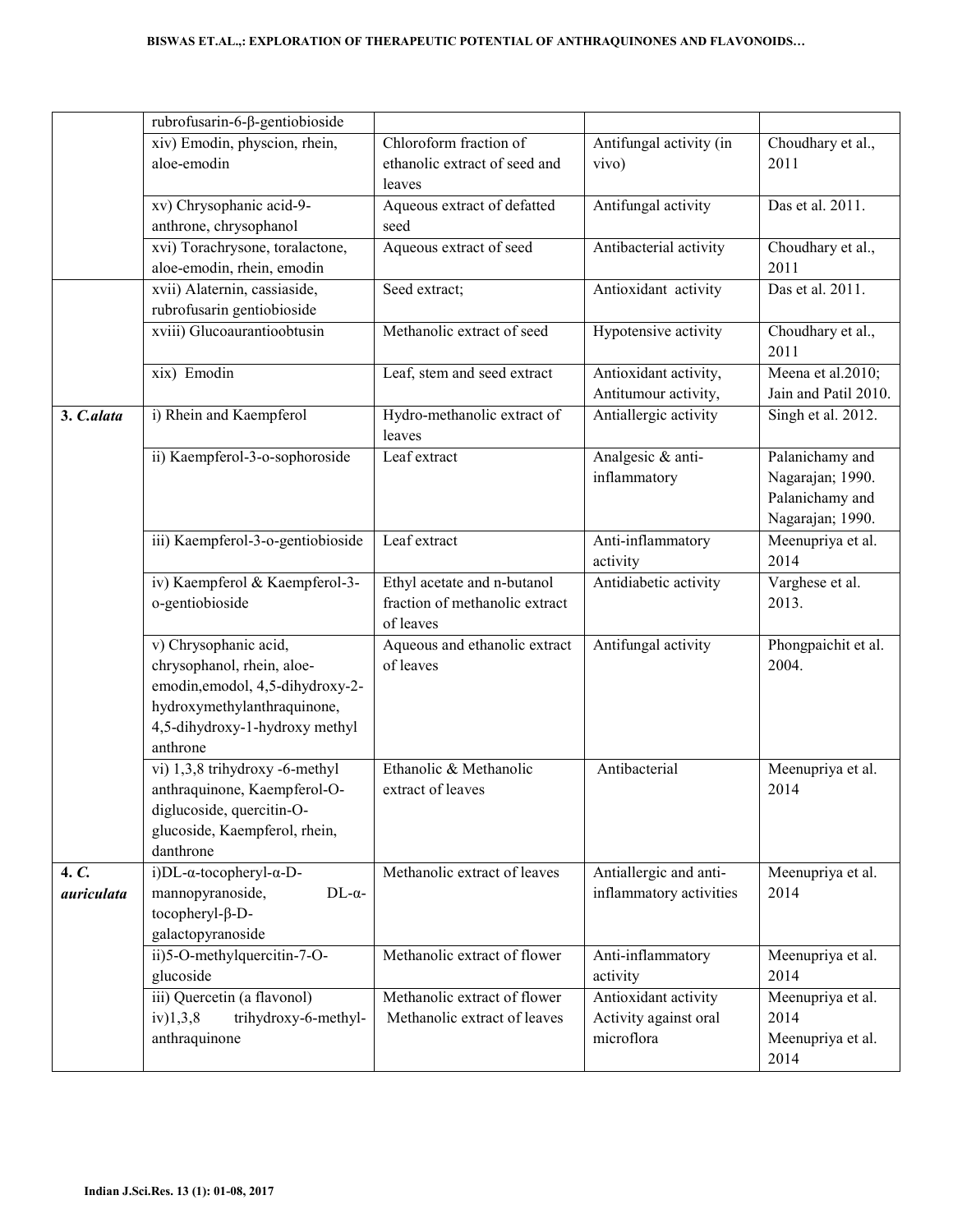|                     | rubrofusarin-6- $\beta$ -gentiobioside                                                                                                                               |                                                                            |                                                             |                                                                            |
|---------------------|----------------------------------------------------------------------------------------------------------------------------------------------------------------------|----------------------------------------------------------------------------|-------------------------------------------------------------|----------------------------------------------------------------------------|
|                     | xiv) Emodin, physcion, rhein,<br>aloe-emodin                                                                                                                         | Chloroform fraction of<br>ethanolic extract of seed and<br>leaves          | Antifungal activity (in<br>vivo)                            | Choudhary et al.,<br>2011                                                  |
|                     | xv) Chrysophanic acid-9-<br>anthrone, chrysophanol                                                                                                                   | Aqueous extract of defatted<br>seed                                        | Antifungal activity                                         | Das et al. 2011.                                                           |
|                     | xvi) Torachrysone, toralactone,<br>aloe-emodin, rhein, emodin                                                                                                        | Aqueous extract of seed                                                    | Antibacterial activity                                      | Choudhary et al.,<br>2011                                                  |
|                     | xvii) Alaternin, cassiaside,<br>rubrofusarin gentiobioside                                                                                                           | Seed extract;                                                              | Antioxidant activity                                        | Das et al. 2011.                                                           |
|                     | xviii) Glucoaurantioobtusin                                                                                                                                          | Methanolic extract of seed                                                 | Hypotensive activity                                        | Choudhary et al.,<br>2011                                                  |
|                     | xix) Emodin                                                                                                                                                          | Leaf, stem and seed extract                                                | Antioxidant activity,<br>Antitumour activity,               | Meena et al.2010;<br>Jain and Patil 2010.                                  |
| 3. C.alata          | i) Rhein and Kaempferol                                                                                                                                              | Hydro-methanolic extract of<br>leaves                                      | Antiallergic activity                                       | Singh et al. 2012.                                                         |
|                     | ii) Kaempferol-3-o-sophoroside                                                                                                                                       | Leaf extract                                                               | Analgesic & anti-<br>inflammatory                           | Palanichamy and<br>Nagarajan; 1990.<br>Palanichamy and<br>Nagarajan; 1990. |
|                     | iii) Kaempferol-3-o-gentiobioside                                                                                                                                    | Leaf extract                                                               | Anti-inflammatory<br>activity                               | Meenupriya et al.<br>2014                                                  |
|                     | iv) Kaempferol & Kaempferol-3-<br>o-gentiobioside                                                                                                                    | Ethyl acetate and n-butanol<br>fraction of methanolic extract<br>of leaves | Antidiabetic activity                                       | Varghese et al.<br>2013.                                                   |
|                     | v) Chrysophanic acid,<br>chrysophanol, rhein, aloe-<br>emodin, emodol, 4,5-dihydroxy-2-<br>hydroxymethylanthraquinone,<br>4,5-dihydroxy-1-hydroxy methyl<br>anthrone | Aqueous and ethanolic extract<br>of leaves                                 | Antifungal activity                                         | Phongpaichit et al.<br>2004.                                               |
|                     | vi) 1,3,8 trihydroxy -6-methyl<br>anthraquinone, Kaempferol-O-<br>diglucoside, quercitin-O-<br>glucoside, Kaempferol, rhein,<br>danthrone                            | Ethanolic & Methanolic<br>extract of leaves                                | Antibacterial                                               | Meenupriya et al.<br>2014                                                  |
| 4. C.<br>auriculata | i)DL- $\alpha$ -tocopheryl- $\alpha$ -D-<br>mannopyranoside,<br>$DL-\alpha$ -<br>tocopheryl-β-D-<br>galactopyranoside                                                | Methanolic extract of leaves                                               | Antiallergic and anti-<br>inflammatory activities           | Meenupriya et al.<br>2014                                                  |
|                     | ii)5-O-methylquercitin-7-O-<br>glucoside                                                                                                                             | Methanolic extract of flower                                               | Anti-inflammatory<br>activity                               | Meenupriya et al.<br>2014                                                  |
|                     | iii) Quercetin (a flavonol)<br>iv)1,3,8<br>trihydroxy-6-methyl-<br>anthraquinone                                                                                     | Methanolic extract of flower<br>Methanolic extract of leaves               | Antioxidant activity<br>Activity against oral<br>microflora | Meenupriya et al.<br>2014<br>Meenupriya et al.<br>2014                     |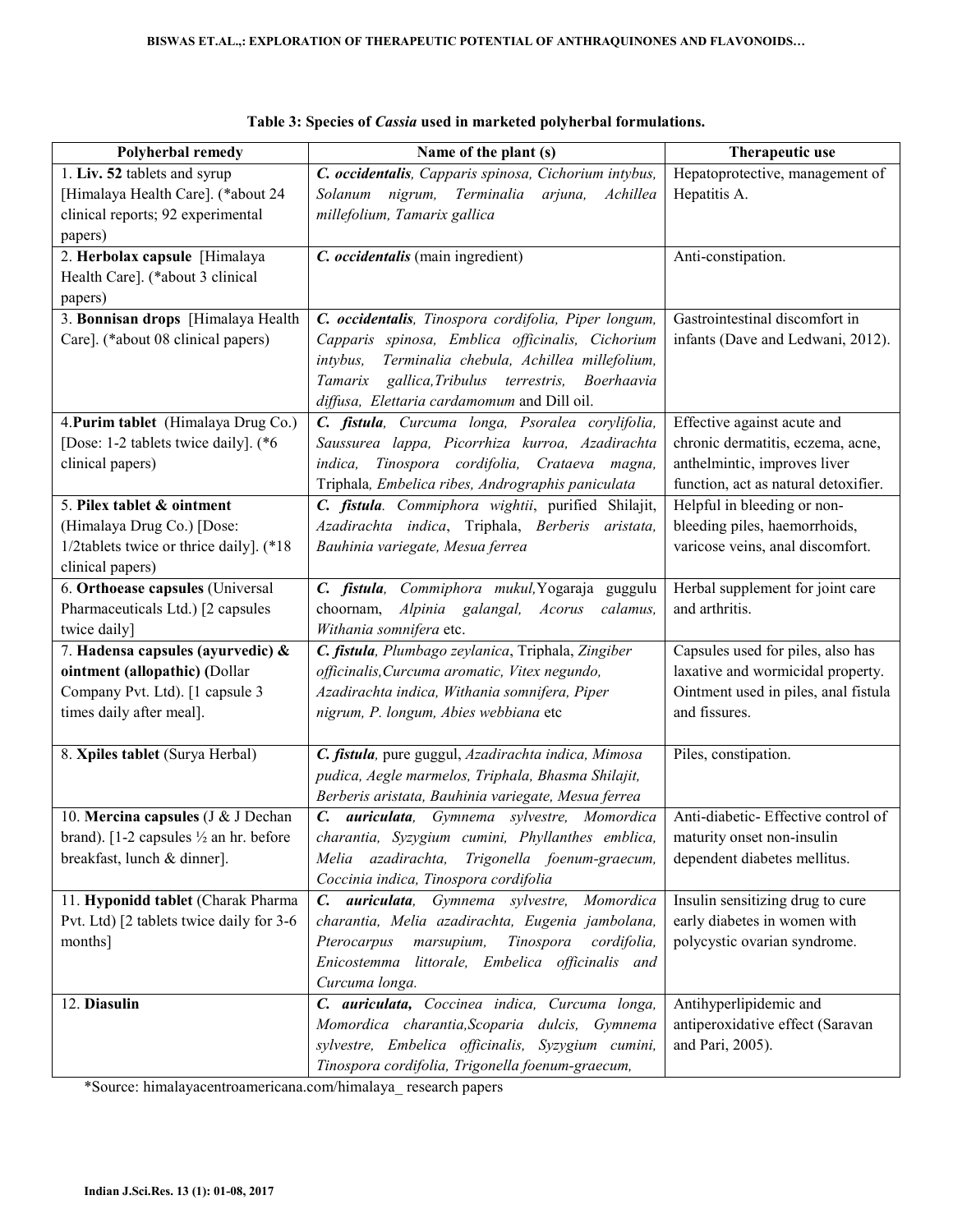| Polyherbal remedy                                                                                                                 | Name of the plant (s)                                                                                                                                                                                                                                                | Therapeutic use                                                                                                                          |
|-----------------------------------------------------------------------------------------------------------------------------------|----------------------------------------------------------------------------------------------------------------------------------------------------------------------------------------------------------------------------------------------------------------------|------------------------------------------------------------------------------------------------------------------------------------------|
| 1. Liv. 52 tablets and syrup<br>[Himalaya Health Care]. (*about 24<br>clinical reports; 92 experimental                           | C. occidentalis, Capparis spinosa, Cichorium intybus,<br>Solanum nigrum, Terminalia arjuna,<br>Achillea<br>millefolium, Tamarix gallica                                                                                                                              | Hepatoprotective, management of<br>Hepatitis A.                                                                                          |
| papers)                                                                                                                           |                                                                                                                                                                                                                                                                      |                                                                                                                                          |
| 2. Herbolax capsule [Himalaya<br>Health Care]. (*about 3 clinical<br>papers)                                                      | C. occidentalis (main ingredient)                                                                                                                                                                                                                                    | Anti-constipation.                                                                                                                       |
| 3. Bonnisan drops [Himalaya Health<br>Care]. (*about 08 clinical papers)                                                          | C. occidentalis, Tinospora cordifolia, Piper longum,<br>Capparis spinosa, Emblica officinalis, Cichorium<br>Terminalia chebula, Achillea millefolium,<br>intybus,<br>Tamarix gallica, Tribulus terrestris, Boerhaavia<br>diffusa, Elettaria cardamomum and Dill oil. | Gastrointestinal discomfort in<br>infants (Dave and Ledwani, 2012).                                                                      |
| 4. Purim tablet (Himalaya Drug Co.)<br>[Dose: 1-2 tablets twice daily]. (*6<br>clinical papers)                                   | C. fistula, Curcuma longa, Psoralea corylifolia,<br>Saussurea lappa, Picorrhiza kurroa, Azadirachta<br>Tinospora cordifolia, Crataeva magna,<br>indica,<br>Triphala, Embelica ribes, Andrographis paniculata                                                         | Effective against acute and<br>chronic dermatitis, eczema, acne,<br>anthelmintic, improves liver<br>function, act as natural detoxifier. |
| 5. Pilex tablet & ointment<br>(Himalaya Drug Co.) [Dose:<br>1/2tablets twice or thrice daily]. (*18<br>clinical papers)           | C. fistula. Commiphora wightii, purified Shilajit,<br>Azadirachta indica, Triphala, Berberis<br>aristata,<br>Bauhinia variegate, Mesua ferrea                                                                                                                        | Helpful in bleeding or non-<br>bleeding piles, haemorrhoids,<br>varicose veins, anal discomfort.                                         |
| 6. Orthoease capsules (Universal<br>Pharmaceuticals Ltd.) [2 capsules<br>twice daily]                                             | C. fistula, Commiphora mukul, Yogaraja guggulu<br>choornam, Alpinia galangal, Acorus<br>calamus,<br>Withania somnifera etc.                                                                                                                                          | Herbal supplement for joint care<br>and arthritis.                                                                                       |
| 7. Hadensa capsules (ayurvedic) &<br>ointment (allopathic) (Dollar<br>Company Pvt. Ltd). [1 capsule 3<br>times daily after meal]. | C. fistula, Plumbago zeylanica, Triphala, Zingiber<br>officinalis, Curcuma aromatic, Vitex negundo,<br>Azadirachta indica, Withania somnifera, Piper<br>nigrum, P. longum, Abies webbiana etc                                                                        | Capsules used for piles, also has<br>laxative and wormicidal property.<br>Ointment used in piles, anal fistula<br>and fissures.          |
| 8. Xpiles tablet (Surya Herbal)                                                                                                   | C. fistula, pure guggul, Azadirachta indica, Mimosa<br>pudica, Aegle marmelos, Triphala, Bhasma Shilajit,<br>Berberis aristata, Bauhinia variegate, Mesua ferrea                                                                                                     | Piles, constipation.                                                                                                                     |
| 10. Mercina capsules (J & J Dechan<br>brand). [1-2 capsules $\frac{1}{2}$ an hr. before<br>breakfast, lunch & dinner].            | C. auriculata, Gymnema sylvestre, Momordica<br>charantia, Syzygium cumini, Phyllanthes emblica,<br>Melia azadirachta, Trigonella foenum-graecum,<br>Coccinia indica, Tinospora cordifolia                                                                            | Anti-diabetic- Effective control of<br>maturity onset non-insulin<br>dependent diabetes mellitus.                                        |
| 11. Hyponidd tablet (Charak Pharma<br>Pvt. Ltd) [2 tablets twice daily for 3-6<br>months]                                         | C. auriculata, Gymnema sylvestre,<br>Momordica<br>charantia, Melia azadirachta, Eugenia jambolana,<br>Tinospora<br>marsupium,<br>cordifolia,<br>Pterocarpus<br>Enicostemma littorale, Embelica officinalis and<br>Curcuma longa.                                     | Insulin sensitizing drug to cure<br>early diabetes in women with<br>polycystic ovarian syndrome.                                         |
| 12. Diasulin                                                                                                                      | C. auriculata, Coccinea indica, Curcuma longa,<br>Momordica charantia, Scoparia dulcis, Gymnema<br>sylvestre, Embelica officinalis, Syzygium cumini,<br>Tinospora cordifolia, Trigonella foenum-graecum,                                                             | Antihyperlipidemic and<br>antiperoxidative effect (Saravan<br>and Pari, 2005).                                                           |

\*Source: himalayacentroamericana.com/himalaya\_ research papers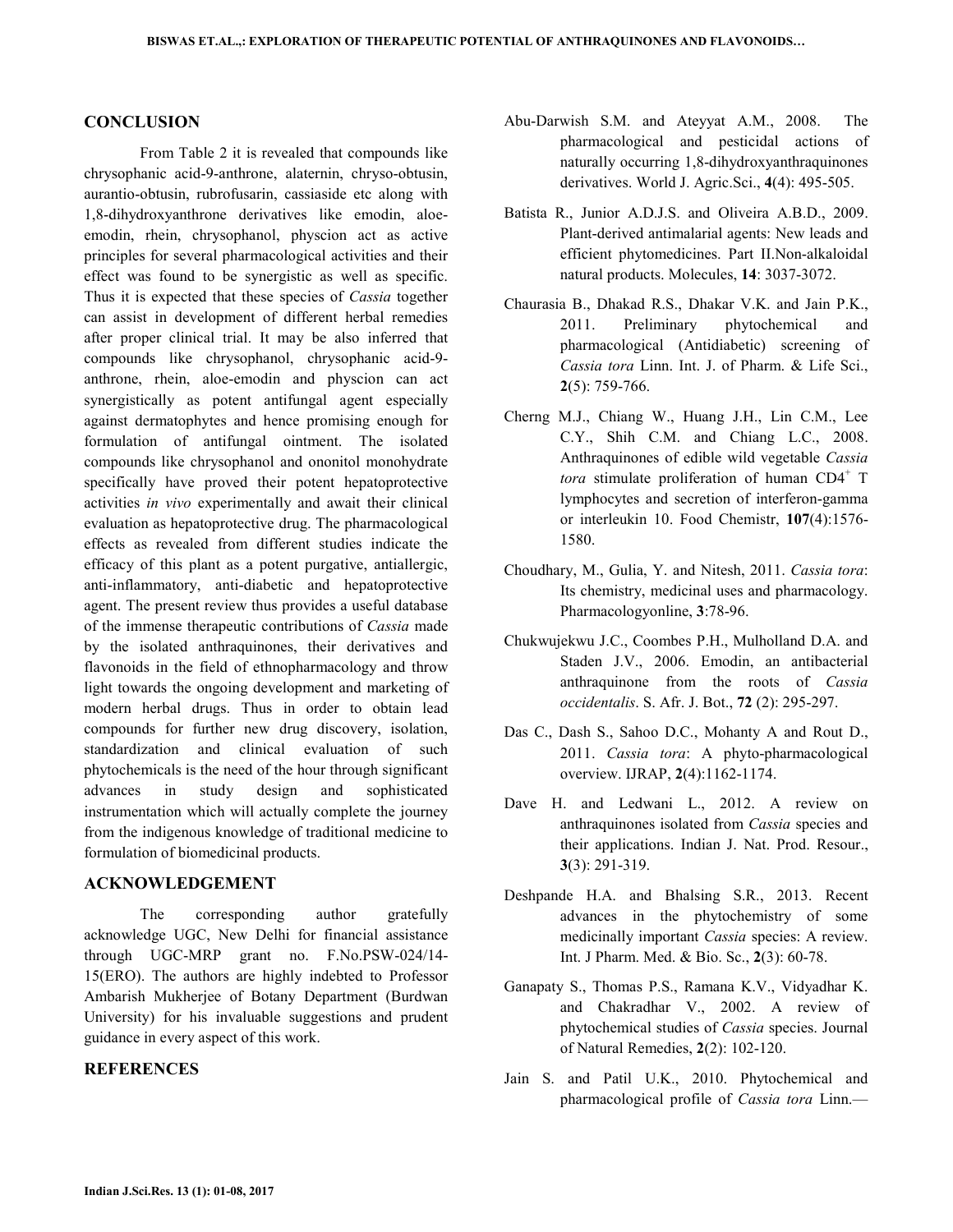#### **CONCLUSION**

 From Table 2 it is revealed that compounds like chrysophanic acid-9-anthrone, alaternin, chryso-obtusin, aurantio-obtusin, rubrofusarin, cassiaside etc along with 1,8-dihydroxyanthrone derivatives like emodin, aloeemodin, rhein, chrysophanol, physcion act as active principles for several pharmacological activities and their effect was found to be synergistic as well as specific. Thus it is expected that these species of *Cassia* together can assist in development of different herbal remedies after proper clinical trial. It may be also inferred that compounds like chrysophanol, chrysophanic acid-9 anthrone, rhein, aloe-emodin and physcion can act synergistically as potent antifungal agent especially against dermatophytes and hence promising enough for formulation of antifungal ointment. The isolated compounds like chrysophanol and ononitol monohydrate specifically have proved their potent hepatoprotective activities *in vivo* experimentally and await their clinical evaluation as hepatoprotective drug. The pharmacological effects as revealed from different studies indicate the efficacy of this plant as a potent purgative, antiallergic, anti-inflammatory, anti-diabetic and hepatoprotective agent. The present review thus provides a useful database of the immense therapeutic contributions of *Cassia* made by the isolated anthraquinones, their derivatives and flavonoids in the field of ethnopharmacology and throw light towards the ongoing development and marketing of modern herbal drugs. Thus in order to obtain lead compounds for further new drug discovery, isolation, standardization and clinical evaluation of such phytochemicals is the need of the hour through significant advances in study design and sophisticated instrumentation which will actually complete the journey from the indigenous knowledge of traditional medicine to formulation of biomedicinal products.

#### **ACKNOWLEDGEMENT**

 The corresponding author gratefully acknowledge UGC, New Delhi for financial assistance through UGC-MRP grant no. F.No.PSW-024/14- 15(ERO). The authors are highly indebted to Professor Ambarish Mukherjee of Botany Department (Burdwan University) for his invaluable suggestions and prudent guidance in every aspect of this work.

# **REFERENCES**

- Abu-Darwish S.M. and Ateyyat A.M., 2008. The pharmacological and pesticidal actions of naturally occurring 1,8-dihydroxyanthraquinones derivatives. World J. Agric.Sci., **4**(4): 495-505.
- Batista R., Junior A.D.J.S. and Oliveira A.B.D., 2009. Plant-derived antimalarial agents: New leads and efficient phytomedicines. Part II.Non-alkaloidal natural products. Molecules, **14**: 3037-3072.
- Chaurasia B., Dhakad R.S., Dhakar V.K. and Jain P.K., 2011. Preliminary phytochemical and pharmacological (Antidiabetic) screening of *Cassia tora* Linn. Int. J. of Pharm. & Life Sci., **2**(5): 759-766.
- Cherng M.J., Chiang W., Huang J.H., Lin C.M., Lee C.Y., Shih C.M. and Chiang L.C., 2008. Anthraquinones of edible wild vegetable *Cassia*  tora stimulate proliferation of human CD4<sup>+</sup> T lymphocytes and secretion of interferon-gamma or interleukin 10. Food Chemistr, **107**(4):1576- 1580.
- Choudhary, M., Gulia, Y. and Nitesh, 2011. *Cassia tora*: Its chemistry, medicinal uses and pharmacology. Pharmacologyonline, **3**:78-96.
- Chukwujekwu J.C., Coombes P.H., Mulholland D.A. and Staden J.V., 2006. Emodin, an antibacterial anthraquinone from the roots of *Cassia occidentalis*. S. Afr. J. Bot., **72** (2): 295-297.
- Das C., Dash S., Sahoo D.C., Mohanty A and Rout D., 2011. *Cassia tora*: A phyto-pharmacological overview. IJRAP, **2**(4):1162-1174.
- Dave H. and Ledwani L., 2012. A review on anthraquinones isolated from *Cassia* species and their applications. Indian J. Nat. Prod. Resour., **3**(3): 291-319.
- Deshpande H.A. and Bhalsing S.R., 2013. Recent advances in the phytochemistry of some medicinally important *Cassia* species: A review. Int. J Pharm. Med. & Bio. Sc., **2**(3): 60-78.
- Ganapaty S., Thomas P.S., Ramana K.V., Vidyadhar K. and Chakradhar V., 2002. A review of phytochemical studies of *Cassia* species. Journal of Natural Remedies, **2**(2): 102-120.
- Jain S. and Patil U.K., 2010. Phytochemical and pharmacological profile of *Cassia tora* Linn.—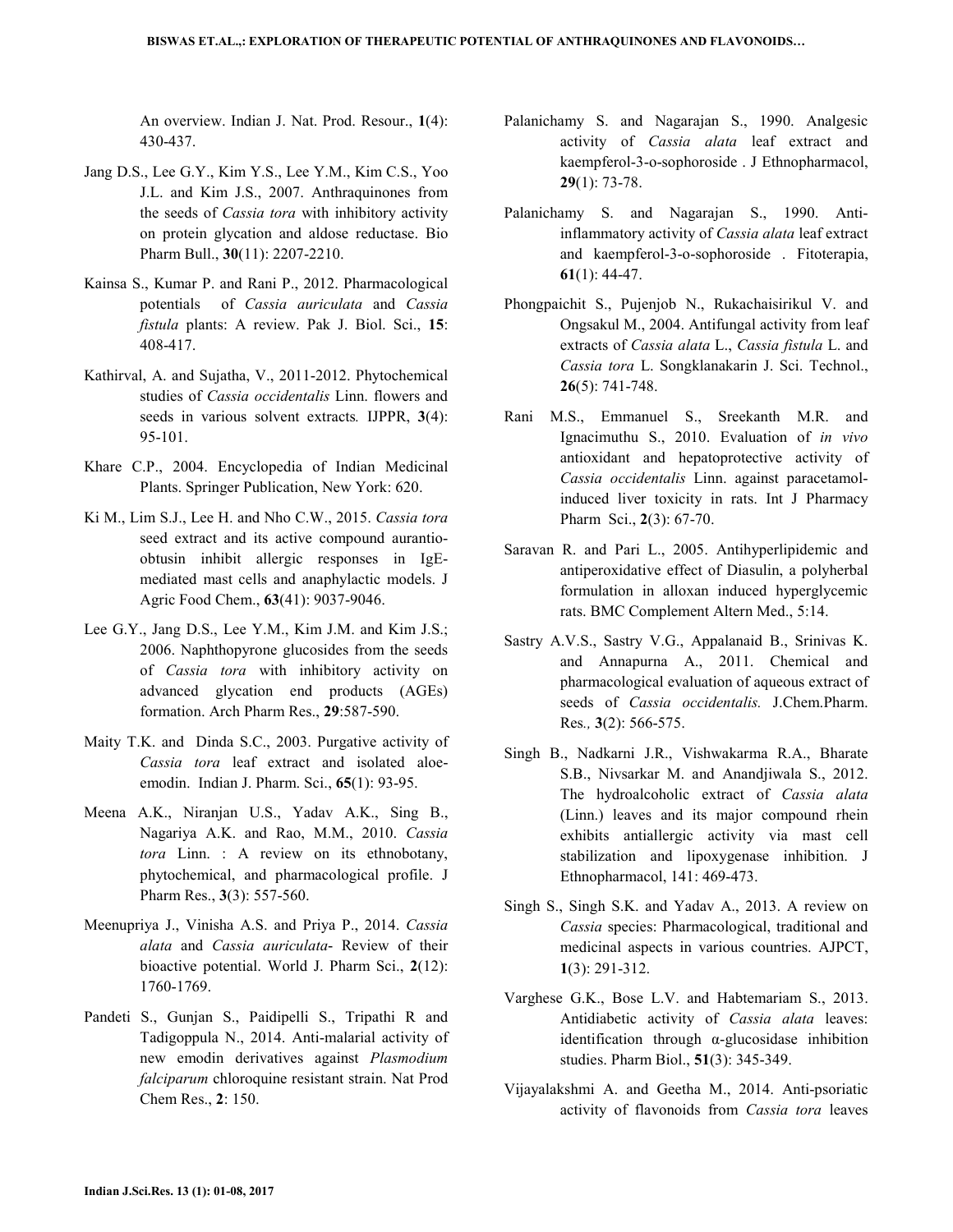An overview. Indian J. Nat. Prod. Resour., **1**(4): 430-437.

- Jang D.S., Lee G.Y., Kim Y.S., Lee Y.M., Kim C.S., Yoo J.L. and Kim J.S., 2007. Anthraquinones from the seeds of *Cassia tora* with inhibitory activity on protein glycation and aldose reductase. Bio Pharm Bull., **30**(11): 2207-2210.
- Kainsa S., Kumar P. and Rani P., 2012. Pharmacological potentials of *Cassia auriculata* and *Cassia fistula* plants: A review. Pak J. Biol. Sci., **15**: 408-417.
- Kathirval, A. and Sujatha, V., 2011-2012. Phytochemical studies of *Cassia occidentalis* Linn. flowers and seeds in various solvent extracts*.* IJPPR, **3**(4): 95-101.
- Khare C.P., 2004. Encyclopedia of Indian Medicinal Plants. Springer Publication, New York: 620.
- Ki M., Lim S.J., Lee H. and Nho C.W., 2015. *Cassia tora* seed extract and its active compound aurantioobtusin inhibit allergic responses in IgEmediated mast cells and anaphylactic models. J Agric Food Chem., **63**(41): 9037-9046.
- Lee G.Y., Jang D.S., Lee Y.M., Kim J.M. and Kim J.S.; 2006. Naphthopyrone glucosides from the seeds of *Cassia tora* with inhibitory activity on advanced glycation end products (AGEs) formation. Arch Pharm Res., **29**:587-590.
- Maity T.K. and Dinda S.C., 2003. Purgative activity of *Cassia tora* leaf extract and isolated aloeemodin. Indian J. Pharm. Sci., **65**(1): 93-95.
- Meena A.K., Niranjan U.S., Yadav A.K., Sing B., Nagariya A.K. and Rao, M.M., 2010. *Cassia tora* Linn. : A review on its ethnobotany, phytochemical, and pharmacological profile. J Pharm Res., **3**(3): 557-560.
- Meenupriya J., Vinisha A.S. and Priya P., 2014. *Cassia alata* and *Cassia auriculata*- Review of their bioactive potential. World J. Pharm Sci., **2**(12): 1760-1769.
- Pandeti S., Gunjan S., Paidipelli S., Tripathi R and Tadigoppula N., 2014. Anti-malarial activity of new emodin derivatives against *Plasmodium falciparum* chloroquine resistant strain. Nat Prod Chem Res., **2**: 150.
- Palanichamy S. and Nagarajan S., 1990. Analgesic activity of *Cassia alata* leaf extract and kaempferol-3-o-sophoroside . J Ethnopharmacol, **29**(1): 73-78.
- Palanichamy S. and Nagarajan S., 1990. Antiinflammatory activity of *Cassia alata* leaf extract and kaempferol-3-o-sophoroside . Fitoterapia, **61**(1): 44-47.
- Phongpaichit S., Pujenjob N., Rukachaisirikul V. and Ongsakul M., 2004. Antifungal activity from leaf extracts of *Cassia alata* L., *Cassia fistula* L. and *Cassia tora* L. Songklanakarin J. Sci. Technol., **26**(5): 741-748.
- Rani M.S., Emmanuel S., Sreekanth M.R. and Ignacimuthu S., 2010. Evaluation of *in vivo* antioxidant and hepatoprotective activity of *Cassia occidentalis* Linn. against paracetamolinduced liver toxicity in rats. Int J Pharmacy Pharm Sci., **2**(3): 67-70.
- Saravan R. and Pari L., 2005. Antihyperlipidemic and antiperoxidative effect of Diasulin, a polyherbal formulation in alloxan induced hyperglycemic rats. BMC Complement Altern Med., 5:14.
- Sastry A.V.S., Sastry V.G., Appalanaid B., Srinivas K. and Annapurna A., 2011. Chemical and pharmacological evaluation of aqueous extract of seeds of *Cassia occidentalis.* J.Chem.Pharm. Res*.,* **3**(2): 566-575.
- Singh B., Nadkarni J.R., Vishwakarma R.A., Bharate S.B., Nivsarkar M. and Anandjiwala S., 2012. The hydroalcoholic extract of *Cassia alata* (Linn.) leaves and its major compound rhein exhibits antiallergic activity via mast cell stabilization and lipoxygenase inhibition. J Ethnopharmacol, 141: 469-473.
- Singh S., Singh S.K. and Yadav A., 2013. A review on *Cassia* species: Pharmacological, traditional and medicinal aspects in various countries. AJPCT, **1**(3): 291-312.
- Varghese G.K., Bose L.V. and Habtemariam S., 2013. Antidiabetic activity of *Cassia alata* leaves: identification through  $\alpha$ -glucosidase inhibition studies. Pharm Biol., **51**(3): 345-349.
- Vijayalakshmi A. and Geetha M., 2014. Anti-psoriatic activity of flavonoids from *Cassia tora* leaves